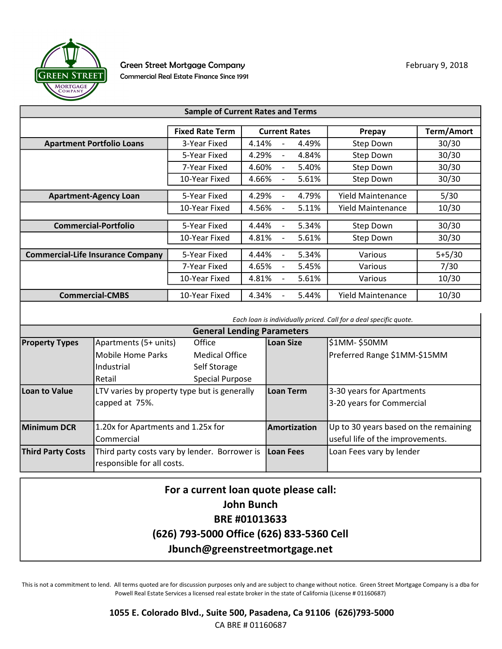

| <b>Sample of Current Rates and Terms</b> |                        |                                            |                          |                   |  |  |  |
|------------------------------------------|------------------------|--------------------------------------------|--------------------------|-------------------|--|--|--|
|                                          |                        |                                            |                          |                   |  |  |  |
|                                          | <b>Fixed Rate Term</b> | <b>Current Rates</b>                       | Prepay                   | <b>Term/Amort</b> |  |  |  |
| <b>Apartment Portfolio Loans</b>         | 3-Year Fixed           | 4.14%<br>4.49%                             | Step Down                | 30/30             |  |  |  |
|                                          | 5-Year Fixed           | 4.29%<br>4.84%<br>$\overline{\phantom{a}}$ | Step Down                | 30/30             |  |  |  |
|                                          | 7-Year Fixed           | 5.40%<br>4.60%                             | <b>Step Down</b>         | 30/30             |  |  |  |
|                                          | 10-Year Fixed          | 4.66%<br>5.61%<br>$\overline{\phantom{a}}$ | <b>Step Down</b>         | 30/30             |  |  |  |
| <b>Apartment-Agency Loan</b>             | 5-Year Fixed           | 4.29%<br>4.79%                             | <b>Yield Maintenance</b> | 5/30              |  |  |  |
|                                          | 10-Year Fixed          | 5.11%<br>4.56%                             | Yield Maintenance        | 10/30             |  |  |  |
|                                          |                        |                                            |                          |                   |  |  |  |
| <b>Commercial-Portfolio</b>              | 5-Year Fixed           | 4.44%<br>5.34%                             | Step Down                | 30/30             |  |  |  |
|                                          | 10-Year Fixed          | 5.61%<br>4.81%<br>$\overline{\phantom{a}}$ | <b>Step Down</b>         | 30/30             |  |  |  |
| <b>Commercial-Life Insurance Company</b> | 5-Year Fixed           | 4.44%<br>5.34%                             | Various                  | $5+5/30$          |  |  |  |
|                                          |                        |                                            |                          |                   |  |  |  |
|                                          | 7-Year Fixed           | 4.65%<br>5.45%                             | Various                  | 7/30              |  |  |  |
|                                          | 10-Year Fixed          | 4.81%<br>5.61%                             | Various                  | 10/30             |  |  |  |
| <b>Commercial-CMBS</b>                   | 10-Year Fixed          | 4.34%<br>5.44%                             | Yield Maintenance        | 10/30             |  |  |  |

Each loan is individually priced. Call for a deal specific quote.

| <b>General Lending Parameters</b>                                         |                                              |                       |                          |                                       |  |  |
|---------------------------------------------------------------------------|----------------------------------------------|-----------------------|--------------------------|---------------------------------------|--|--|
| <b>Property Types</b>                                                     | Apartments (5+ units)                        | Office                | Loan Size                | \$1MM- \$50MM                         |  |  |
|                                                                           | Mobile Home Parks                            | <b>Medical Office</b> |                          | Preferred Range \$1MM-\$15MM          |  |  |
|                                                                           | <b>Industrial</b>                            | Self Storage          |                          |                                       |  |  |
|                                                                           | l Retail                                     | Special Purpose       |                          |                                       |  |  |
| Loan to Value                                                             | LTV varies by property type but is generally |                       | lLoan Term               | 3-30 years for Apartments             |  |  |
|                                                                           | capped at 75%.                               |                       |                          | 3-20 years for Commercial             |  |  |
|                                                                           |                                              |                       |                          |                                       |  |  |
| <b>Minimum DCR</b>                                                        | 1.20x for Apartments and 1.25x for           |                       | <b>Amortization</b>      | Up to 30 years based on the remaining |  |  |
|                                                                           | Commercial                                   |                       |                          | useful life of the improvements.      |  |  |
| <b>Third Party Costs</b><br>Third party costs vary by lender. Borrower is |                                              | Loan Fees             | Loan Fees vary by lender |                                       |  |  |
|                                                                           | responsible for all costs.                   |                       |                          |                                       |  |  |

## For a current loan quote please call: John Bunch BRE #01013633 (626) 793-5000 Office (626) 833-5360 Cell Jbunch@greenstreetmortgage.net

This is not a commitment to lend. All terms quoted are for discussion purposes only and are subject to change without notice. Green Street Mortgage Company is a dba for Powell Real Estate Services a licensed real estate broker in the state of California (License # 01160687)